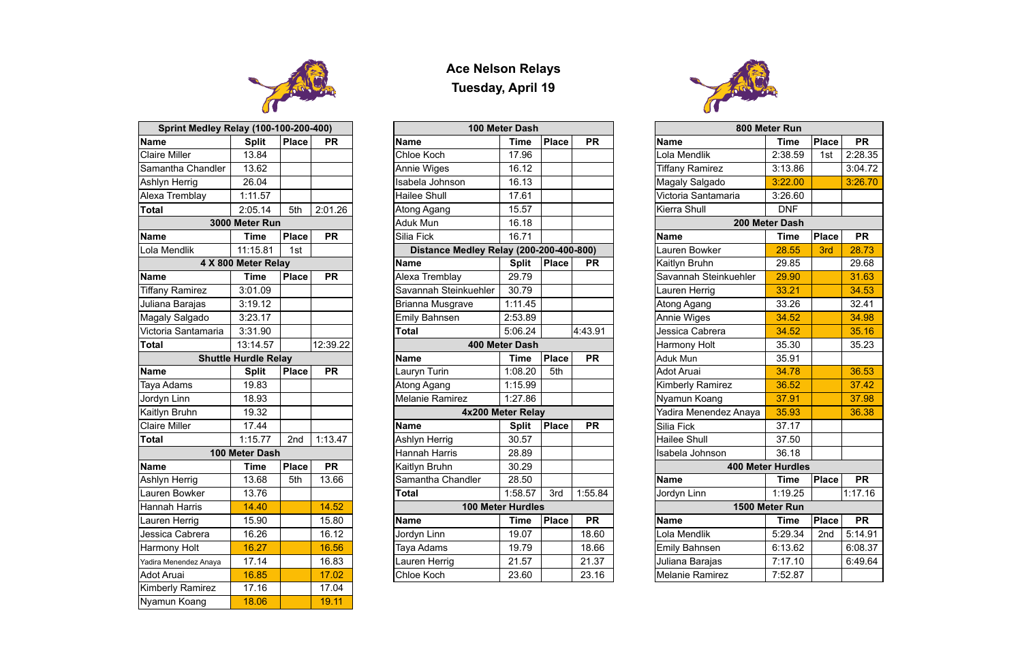

| <b>Sprint Medley Relay (100-100-200-400)</b> |                             |              |                          |
|----------------------------------------------|-----------------------------|--------------|--------------------------|
| <b>Name</b>                                  | <b>Split</b>                | <b>Place</b> | <b>PR</b>                |
| <b>Claire Miller</b>                         | 13.84                       |              |                          |
| Samantha Chandler                            | 13.62                       |              |                          |
| Ashlyn Herrig                                | 26.04                       |              |                          |
| Alexa Tremblay                               | 1:11.57                     |              |                          |
| Total                                        | 2:05.14                     | 5th          | 2:01.26                  |
|                                              | 3000 Meter Run              |              |                          |
| <b>Name</b>                                  | <b>Time</b>                 | <b>Place</b> | <b>PR</b>                |
| Lola Mendlik                                 | 11:15.81                    | 1st          |                          |
|                                              | 4 X 800 Meter Relay         |              |                          |
| Name                                         | <b>Time</b>                 | <b>Place</b> | $\overline{\mathsf{PR}}$ |
| <b>Tiffany Ramirez</b>                       | 3:01.09                     |              |                          |
| Juliana Barajas                              | 3:19.12                     |              |                          |
| Magaly Salgado                               | 3:23.17                     |              |                          |
| Victoria Santamaria                          | 3:31.90                     |              |                          |
| <b>Total</b>                                 | 13:14.57                    |              | 12:39.22                 |
|                                              | <b>Shuttle Hurdle Relay</b> |              |                          |
| <b>Name</b>                                  | <b>Split</b>                | <b>Place</b> | <b>PR</b>                |
|                                              |                             |              |                          |
| Taya Adams                                   | 19.83                       |              |                          |
| Jordyn Linn                                  | 18.93                       |              |                          |
| Kaitlyn Bruhn                                | 19.32                       |              |                          |
| <b>Claire Miller</b>                         | 17.44                       |              |                          |
| <b>Total</b>                                 | 1:15.77                     | 2nd          | 1:13.47                  |
|                                              | 100 Meter Dash              |              |                          |
| Name                                         | Time                        | <b>Place</b> | <b>PR</b>                |
| Ashlyn Herrig                                | 13.68                       | 5th          | 13.66                    |
| Lauren Bowker                                | 13.76                       |              |                          |
| <b>Hannah Harris</b>                         | 14.40                       |              | 14.52                    |
| Lauren Herrig                                | 15.90                       |              | 15.80                    |
| Jessica Cabrera                              | 16.26                       |              | 16.12                    |
| Harmony Holt                                 | 16.27                       |              | 16.56                    |
| Yadira Menendez Anaya                        | 17.14                       |              | 16.83                    |
| Adot Aruai                                   | 16.85                       |              | 17.02                    |
| Kimberly Ramirez                             | 17.16                       |              | 17.04                    |

## **Ace Nelson Relays Tuesday, April 19**

| <b>Sprint Medley Relay (100-100-200-400)</b> |                             |              |               |                                         | 100 Meter Dash    |              |                 |                        | 800 Meter Run            |              |           |  |  |
|----------------------------------------------|-----------------------------|--------------|---------------|-----------------------------------------|-------------------|--------------|-----------------|------------------------|--------------------------|--------------|-----------|--|--|
| <b>Name</b>                                  | <b>Split</b>                | <b>Place</b> | <b>PR</b>     | <b>Name</b>                             | <b>Time</b>       | Place        | <b>PR</b>       | <b>Name</b>            | <b>Time</b>              | <b>Place</b> | <b>PR</b> |  |  |
| <b>Claire Miller</b>                         | 13.84                       |              |               | Chloe Koch                              | 17.96             |              |                 | Lola Mendlik           | 2:38.59                  | 1st          | 2:28.35   |  |  |
| Samantha Chandler                            | 13.62                       |              |               | Annie Wiges                             | 16.12             |              |                 | <b>Tiffany Ramirez</b> | 3:13.86                  |              | 3:04.72   |  |  |
| Ashlyn Herrig                                | 26.04                       |              |               | Isabela Johnson                         | 16.13             |              |                 | Magaly Salgado         | 3:22.00                  |              | 3:26.70   |  |  |
| Alexa Tremblay                               | 1:11.57                     |              |               | Hailee Shull                            | 17.61             |              |                 | Victoria Santamaria    | 3:26.60                  |              |           |  |  |
| Total                                        | 2:05.14                     | 5th          | 2:01.26       | Atong Agang                             | 15.57             |              |                 | Kierra Shull           | <b>DNF</b>               |              |           |  |  |
|                                              | 3000 Meter Run              |              |               | Aduk Mun                                | 16.18             |              |                 |                        | 200 Meter Dash           |              |           |  |  |
| <b>Name</b>                                  | <b>Time</b>                 | Place        | <b>PR</b>     | Silia Fick                              | 16.71             |              |                 | <b>Name</b>            | <b>Time</b>              | <b>Place</b> | <b>PR</b> |  |  |
| Lola Mendlik                                 | 11:15.81                    | 1st          |               | Distance Medley Relay (200-200-400-800) |                   |              |                 | Lauren Bowker          | 28.55                    | 3rd          | 28.73     |  |  |
|                                              | 4 X 800 Meter Relay         |              |               | <b>Name</b>                             | <b>Split</b>      | Place        | <b>PR</b>       | Kaitlyn Bruhn          | 29.85                    |              |           |  |  |
| <b>Name</b>                                  | <b>Time</b>                 | Place        | <b>PR</b>     | Alexa Tremblay                          | 29.79             |              |                 | Savannah Steinkuehler  | 29.90                    |              | 31.63     |  |  |
| <b>Tiffany Ramirez</b>                       | 3:01.09                     |              |               | Savannah Steinkuehler                   | 30.79             |              |                 | Lauren Herrig          | 33.21                    |              | 34.53     |  |  |
| Juliana Barajas                              | 3:19.12                     |              |               | Brianna Musgrave                        | 1:11.45           |              |                 | Atong Agang            | 33.26                    |              | 32.41     |  |  |
| Magaly Salgado                               | 3:23.17                     |              |               | Emily Bahnsen                           | 2:53.89           |              |                 | Annie Wiges            | 34.52                    |              | 34.98     |  |  |
| Victoria Santamaria                          | 3:31.90                     |              |               | Total                                   | 5:06.24           |              | 4:43.91         | Jessica Cabrera        | 34.52                    |              | 35.16     |  |  |
| Total                                        | 13:14.57                    |              | 12:39.22      |                                         | 400 Meter Dash    |              |                 | Harmony Holt           | 35.30                    |              | 35.23     |  |  |
|                                              | <b>Shuttle Hurdle Relay</b> |              |               | Name                                    | <b>Time</b>       | <b>Place</b> | <b>PR</b>       | Aduk Mun               | 35.91                    |              |           |  |  |
| <b>Name</b>                                  | <b>Split</b>                | Place        | <b>PR</b>     | Lauryn Turin                            | 1:08.20           | 5th          |                 | Adot Aruai             | 34.78                    |              | 36.53     |  |  |
| Taya Adams                                   | 19.83                       |              |               | Atong Agang                             | 1:15.99           |              |                 | Kimberly Ramirez       | 36.52                    |              | 37.42     |  |  |
| Jordyn Linn                                  | 18.93                       |              |               | <b>Melanie Ramirez</b>                  | 1:27.86           |              |                 | Nyamun Koang           | 37.91                    |              | 37.98     |  |  |
| Kaitlyn Bruhn                                | 19.32                       |              |               |                                         | 4x200 Meter Relay |              |                 | Yadira Menendez Anaya  | 35.93                    |              | 36.38     |  |  |
| <b>Claire Miller</b>                         | 17.44                       |              |               | <b>Name</b>                             | <b>Split</b>      | Place        | <b>PR</b>       | Silia Fick             | 37.17                    |              |           |  |  |
| Total                                        | 1:15.77                     | 2nd          | 1:13.47       | Ashlyn Herrig                           | 30.57             |              |                 | <b>Hailee Shull</b>    | 37.50                    |              |           |  |  |
|                                              | 100 Meter Dash              |              | Hannah Harris | 28.89                                   |                   |              | Isabela Johnson | 36.18                  |                          |              |           |  |  |
| <b>Name</b>                                  | <b>Time</b>                 | Place        | <b>PR</b>     | Kaitlyn Bruhn                           | 30.29             |              |                 |                        | <b>400 Meter Hurdles</b> |              |           |  |  |
| Ashlyn Herrig                                | 13.68                       | 5th          | 13.66         | Samantha Chandler                       | 28.50             |              |                 | <b>Name</b>            | <b>Time</b>              | <b>Place</b> | <b>PR</b> |  |  |
| Lauren Bowker                                | 13.76                       |              |               | Total                                   | 1:58.57           | 3rd          | 1:55.84         | Jordyn Linn            | 1:19.25                  |              | 1:17.16   |  |  |
| Hannah Harris                                | 14.40                       |              | 14.52         |                                         | 100 Meter Hurdles |              |                 |                        | 1500 Meter Run           |              |           |  |  |
| Lauren Herrig                                | 15.90                       |              | 15.80         | <b>Name</b>                             | <b>Time</b>       | Place        | <b>PR</b>       | <b>Name</b>            | <b>Time</b>              | <b>Place</b> | <b>PR</b> |  |  |
| Jessica Cabrera                              | 16.26                       |              | 16.12         | Jordyn Linn                             | 19.07             |              | 18.60           | Lola Mendlik           | 5:29.34                  | 2nd          | 5:14.91   |  |  |
| Harmony Holt                                 | 16.27                       |              | 16.56         | Taya Adams                              | 19.79             |              | 18.66           | Emily Bahnsen          | 6:13.62                  |              | 6:08.37   |  |  |
| Yadira Menendez Anaya                        | 17.14                       |              | 16.83         | Lauren Herrig                           | 21.57             |              | 21.37           | Juliana Barajas        | 7:17.10                  |              | 6:49.64   |  |  |
| Adot Aruai                                   | 16.85                       |              | 17.02         | Chloe Koch                              | 23.60             |              | 23.16           | <b>Melanie Ramirez</b> | 7:52.87                  |              |           |  |  |



| Place<br><b>Split</b><br><b>PR</b><br><b>Time</b><br><b>Place</b><br><b>PR</b><br><b>Name</b><br><b>Name</b><br>13.84<br>Chloe Koch<br>17.96<br>13.62<br>16.12<br>Annie Wiges<br>26.04<br>Isabela Johnson<br>16.13<br>1:11.57<br>Hailee Shull<br>17.61<br>15.57<br>2:05.14<br>2:01.26<br>Atong Agang<br>5th<br>Aduk Mun<br>3000 Meter Run<br>16.18<br>Silia Fick<br>16.71<br>Place<br><b>PR</b><br><b>Time</b><br>11:15.81<br>Distance Medley Relay (200-200-400-800)<br>1st<br>Place<br>4 X 800 Meter Relay<br><b>Split</b><br><b>Name</b><br><b>PR</b><br>Alexa Tremblay<br>29.79<br><b>PR</b><br><b>Time</b><br>Place<br>Savannah Steinkuehler<br>30.79<br>3:01.09<br>3:19.12<br><b>Brianna Musgrave</b><br>1:11.45<br>3:23.17<br>2:53.89<br>Emily Bahnsen<br>5:06.24<br>3:31.90<br>4:43.91<br><b>Total</b><br>13:14.57<br>12:39.22<br>400 Meter Dash<br><b>Shuttle Hurdle Relay</b><br><b>Place</b><br><b>PR</b><br><b>Name</b><br><b>Time</b><br><b>PR</b><br>1:08.20<br>Place<br>Lauryn Turin<br>5th<br><b>Split</b><br>19.83<br>1:15.99<br>Atong Agang<br>18.93<br>1:27.86<br>Melanie Ramirez<br>19.32<br>4x200 Meter Relay<br>17.44<br>Place<br><b>PR</b><br><b>Name</b><br><b>Split</b><br>1:15.77<br>1:13.47<br>Ashlyn Herrig<br>30.57<br>2nd<br>28.89<br>100 Meter Dash<br>Hannah Harris<br><b>PR</b><br>30.29<br><b>Time</b><br><b>Place</b><br>Kaitlyn Bruhn<br>Samantha Chandler<br>28.50<br>13.68<br>13.66<br>5th<br>1:58.57<br>13.76<br>1:55.84<br>Total<br>3rd<br>14.40<br>100 Meter Hurdles<br>14.52<br>15.90<br>15.80<br><b>Place</b><br><b>PR</b><br><b>Name</b><br><b>Time</b><br>16.26<br>16.12<br>19.07<br>18.60<br>Jordyn Linn<br>16.27<br>19.79<br>16.56<br>Taya Adams<br>18.66<br>17.14<br>16.83<br>Lauren Herrig<br>21.57<br>21.37<br>Chloe Koch<br>16.85<br>23.60<br>23.16<br>17.02 | <b>Sprint Medley Relay (100-100-200-400)</b> |  |  |
|-----------------------------------------------------------------------------------------------------------------------------------------------------------------------------------------------------------------------------------------------------------------------------------------------------------------------------------------------------------------------------------------------------------------------------------------------------------------------------------------------------------------------------------------------------------------------------------------------------------------------------------------------------------------------------------------------------------------------------------------------------------------------------------------------------------------------------------------------------------------------------------------------------------------------------------------------------------------------------------------------------------------------------------------------------------------------------------------------------------------------------------------------------------------------------------------------------------------------------------------------------------------------------------------------------------------------------------------------------------------------------------------------------------------------------------------------------------------------------------------------------------------------------------------------------------------------------------------------------------------------------------------------------------------------------------------------------------------------------------------------------------------------------------------------------------------|----------------------------------------------|--|--|
| Lola Mendlik<br><b>Tiffany Ramirez</b><br>Magaly Salgado<br>Victoria Santamaria<br>Kierra Shull<br>Name                                                                                                                                                                                                                                                                                                                                                                                                                                                                                                                                                                                                                                                                                                                                                                                                                                                                                                                                                                                                                                                                                                                                                                                                                                                                                                                                                                                                                                                                                                                                                                                                                                                                                                         | <b>Name</b>                                  |  |  |
|                                                                                                                                                                                                                                                                                                                                                                                                                                                                                                                                                                                                                                                                                                                                                                                                                                                                                                                                                                                                                                                                                                                                                                                                                                                                                                                                                                                                                                                                                                                                                                                                                                                                                                                                                                                                                 | <b>Claire Miller</b>                         |  |  |
|                                                                                                                                                                                                                                                                                                                                                                                                                                                                                                                                                                                                                                                                                                                                                                                                                                                                                                                                                                                                                                                                                                                                                                                                                                                                                                                                                                                                                                                                                                                                                                                                                                                                                                                                                                                                                 | Samantha Chandler                            |  |  |
|                                                                                                                                                                                                                                                                                                                                                                                                                                                                                                                                                                                                                                                                                                                                                                                                                                                                                                                                                                                                                                                                                                                                                                                                                                                                                                                                                                                                                                                                                                                                                                                                                                                                                                                                                                                                                 | Ashlyn Herrig                                |  |  |
|                                                                                                                                                                                                                                                                                                                                                                                                                                                                                                                                                                                                                                                                                                                                                                                                                                                                                                                                                                                                                                                                                                                                                                                                                                                                                                                                                                                                                                                                                                                                                                                                                                                                                                                                                                                                                 | Alexa Tremblay                               |  |  |
|                                                                                                                                                                                                                                                                                                                                                                                                                                                                                                                                                                                                                                                                                                                                                                                                                                                                                                                                                                                                                                                                                                                                                                                                                                                                                                                                                                                                                                                                                                                                                                                                                                                                                                                                                                                                                 | Total                                        |  |  |
|                                                                                                                                                                                                                                                                                                                                                                                                                                                                                                                                                                                                                                                                                                                                                                                                                                                                                                                                                                                                                                                                                                                                                                                                                                                                                                                                                                                                                                                                                                                                                                                                                                                                                                                                                                                                                 |                                              |  |  |
| Lauren Bowker                                                                                                                                                                                                                                                                                                                                                                                                                                                                                                                                                                                                                                                                                                                                                                                                                                                                                                                                                                                                                                                                                                                                                                                                                                                                                                                                                                                                                                                                                                                                                                                                                                                                                                                                                                                                   | <b>Name</b>                                  |  |  |
| Kaitlyn Bruhn<br>Name<br>Name                                                                                                                                                                                                                                                                                                                                                                                                                                                                                                                                                                                                                                                                                                                                                                                                                                                                                                                                                                                                                                                                                                                                                                                                                                                                                                                                                                                                                                                                                                                                                                                                                                                                                                                                                                                   | Lola Mendlik                                 |  |  |
| Savannah Steinkuehler<br>Aduk Mun<br>Adot Aruai<br>Silia Fick                                                                                                                                                                                                                                                                                                                                                                                                                                                                                                                                                                                                                                                                                                                                                                                                                                                                                                                                                                                                                                                                                                                                                                                                                                                                                                                                                                                                                                                                                                                                                                                                                                                                                                                                                   |                                              |  |  |
| Lauren Herrig<br><b>Hailee Shull</b><br>Jordyn Linn                                                                                                                                                                                                                                                                                                                                                                                                                                                                                                                                                                                                                                                                                                                                                                                                                                                                                                                                                                                                                                                                                                                                                                                                                                                                                                                                                                                                                                                                                                                                                                                                                                                                                                                                                             | <b>Name</b>                                  |  |  |
| Atong Agang<br>Annie Wiges<br>Lola Mendlik                                                                                                                                                                                                                                                                                                                                                                                                                                                                                                                                                                                                                                                                                                                                                                                                                                                                                                                                                                                                                                                                                                                                                                                                                                                                                                                                                                                                                                                                                                                                                                                                                                                                                                                                                                      | <b>Tiffany Ramirez</b>                       |  |  |
|                                                                                                                                                                                                                                                                                                                                                                                                                                                                                                                                                                                                                                                                                                                                                                                                                                                                                                                                                                                                                                                                                                                                                                                                                                                                                                                                                                                                                                                                                                                                                                                                                                                                                                                                                                                                                 | Juliana Barajas                              |  |  |
| Jessica Cabrera                                                                                                                                                                                                                                                                                                                                                                                                                                                                                                                                                                                                                                                                                                                                                                                                                                                                                                                                                                                                                                                                                                                                                                                                                                                                                                                                                                                                                                                                                                                                                                                                                                                                                                                                                                                                 | Magaly Salgado                               |  |  |
| Harmony Holt                                                                                                                                                                                                                                                                                                                                                                                                                                                                                                                                                                                                                                                                                                                                                                                                                                                                                                                                                                                                                                                                                                                                                                                                                                                                                                                                                                                                                                                                                                                                                                                                                                                                                                                                                                                                    | Victoria Santamaria                          |  |  |
|                                                                                                                                                                                                                                                                                                                                                                                                                                                                                                                                                                                                                                                                                                                                                                                                                                                                                                                                                                                                                                                                                                                                                                                                                                                                                                                                                                                                                                                                                                                                                                                                                                                                                                                                                                                                                 | <b>Total</b>                                 |  |  |
|                                                                                                                                                                                                                                                                                                                                                                                                                                                                                                                                                                                                                                                                                                                                                                                                                                                                                                                                                                                                                                                                                                                                                                                                                                                                                                                                                                                                                                                                                                                                                                                                                                                                                                                                                                                                                 |                                              |  |  |
| Kimberly Ramirez<br>Nyamun Koang<br>Yadira Menendez Anaya<br>Emily Bahnsen                                                                                                                                                                                                                                                                                                                                                                                                                                                                                                                                                                                                                                                                                                                                                                                                                                                                                                                                                                                                                                                                                                                                                                                                                                                                                                                                                                                                                                                                                                                                                                                                                                                                                                                                      | <b>Name</b>                                  |  |  |
|                                                                                                                                                                                                                                                                                                                                                                                                                                                                                                                                                                                                                                                                                                                                                                                                                                                                                                                                                                                                                                                                                                                                                                                                                                                                                                                                                                                                                                                                                                                                                                                                                                                                                                                                                                                                                 | Taya Adams                                   |  |  |
|                                                                                                                                                                                                                                                                                                                                                                                                                                                                                                                                                                                                                                                                                                                                                                                                                                                                                                                                                                                                                                                                                                                                                                                                                                                                                                                                                                                                                                                                                                                                                                                                                                                                                                                                                                                                                 | Jordyn Linn                                  |  |  |
|                                                                                                                                                                                                                                                                                                                                                                                                                                                                                                                                                                                                                                                                                                                                                                                                                                                                                                                                                                                                                                                                                                                                                                                                                                                                                                                                                                                                                                                                                                                                                                                                                                                                                                                                                                                                                 | Kaitlyn Bruhn                                |  |  |
| Isabela Johnson                                                                                                                                                                                                                                                                                                                                                                                                                                                                                                                                                                                                                                                                                                                                                                                                                                                                                                                                                                                                                                                                                                                                                                                                                                                                                                                                                                                                                                                                                                                                                                                                                                                                                                                                                                                                 | <b>Claire Miller</b>                         |  |  |
|                                                                                                                                                                                                                                                                                                                                                                                                                                                                                                                                                                                                                                                                                                                                                                                                                                                                                                                                                                                                                                                                                                                                                                                                                                                                                                                                                                                                                                                                                                                                                                                                                                                                                                                                                                                                                 | <b>Total</b>                                 |  |  |
|                                                                                                                                                                                                                                                                                                                                                                                                                                                                                                                                                                                                                                                                                                                                                                                                                                                                                                                                                                                                                                                                                                                                                                                                                                                                                                                                                                                                                                                                                                                                                                                                                                                                                                                                                                                                                 |                                              |  |  |
|                                                                                                                                                                                                                                                                                                                                                                                                                                                                                                                                                                                                                                                                                                                                                                                                                                                                                                                                                                                                                                                                                                                                                                                                                                                                                                                                                                                                                                                                                                                                                                                                                                                                                                                                                                                                                 | <b>Name</b>                                  |  |  |
|                                                                                                                                                                                                                                                                                                                                                                                                                                                                                                                                                                                                                                                                                                                                                                                                                                                                                                                                                                                                                                                                                                                                                                                                                                                                                                                                                                                                                                                                                                                                                                                                                                                                                                                                                                                                                 | Ashlyn Herrig                                |  |  |
|                                                                                                                                                                                                                                                                                                                                                                                                                                                                                                                                                                                                                                                                                                                                                                                                                                                                                                                                                                                                                                                                                                                                                                                                                                                                                                                                                                                                                                                                                                                                                                                                                                                                                                                                                                                                                 | Lauren Bowker                                |  |  |
|                                                                                                                                                                                                                                                                                                                                                                                                                                                                                                                                                                                                                                                                                                                                                                                                                                                                                                                                                                                                                                                                                                                                                                                                                                                                                                                                                                                                                                                                                                                                                                                                                                                                                                                                                                                                                 | Hannah Harris                                |  |  |
|                                                                                                                                                                                                                                                                                                                                                                                                                                                                                                                                                                                                                                                                                                                                                                                                                                                                                                                                                                                                                                                                                                                                                                                                                                                                                                                                                                                                                                                                                                                                                                                                                                                                                                                                                                                                                 | Lauren Herrig                                |  |  |
| Juliana Barajas                                                                                                                                                                                                                                                                                                                                                                                                                                                                                                                                                                                                                                                                                                                                                                                                                                                                                                                                                                                                                                                                                                                                                                                                                                                                                                                                                                                                                                                                                                                                                                                                                                                                                                                                                                                                 | Jessica Cabrera                              |  |  |
|                                                                                                                                                                                                                                                                                                                                                                                                                                                                                                                                                                                                                                                                                                                                                                                                                                                                                                                                                                                                                                                                                                                                                                                                                                                                                                                                                                                                                                                                                                                                                                                                                                                                                                                                                                                                                 | Harmony Holt                                 |  |  |
| Melanie Ramirez                                                                                                                                                                                                                                                                                                                                                                                                                                                                                                                                                                                                                                                                                                                                                                                                                                                                                                                                                                                                                                                                                                                                                                                                                                                                                                                                                                                                                                                                                                                                                                                                                                                                                                                                                                                                 | Yadira Menendez Anaya                        |  |  |
|                                                                                                                                                                                                                                                                                                                                                                                                                                                                                                                                                                                                                                                                                                                                                                                                                                                                                                                                                                                                                                                                                                                                                                                                                                                                                                                                                                                                                                                                                                                                                                                                                                                                                                                                                                                                                 | Adot Aruai                                   |  |  |